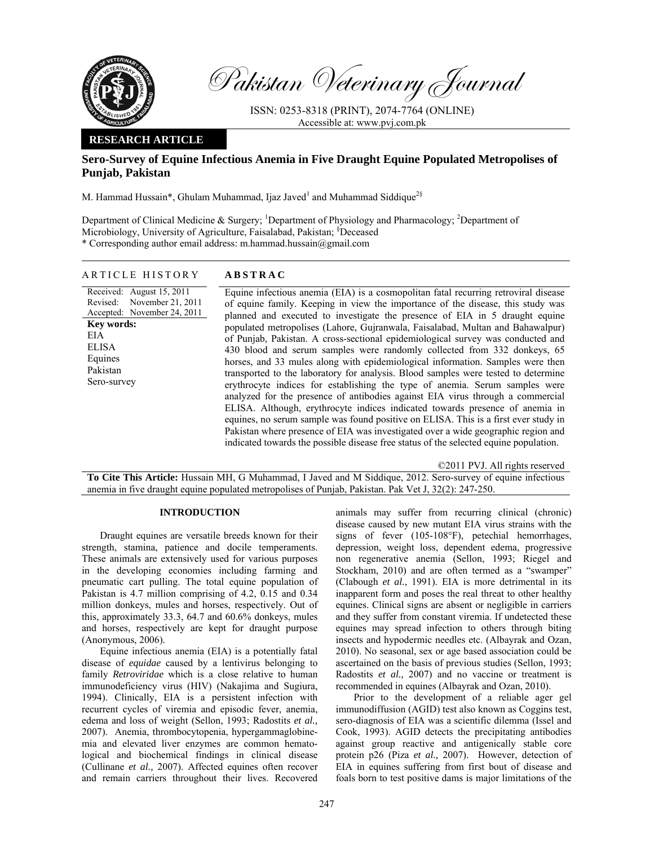

Pakistan Veterinary Journal

ISSN: 0253-8318 (PRINT), 2074-7764 (ONLINE) Accessible at: www.pvj.com.pk

## **RESEARCH ARTICLE**

# **Sero-Survey of Equine Infectious Anemia in Five Draught Equine Populated Metropolises of Punjab, Pakistan**

M. Hammad Hussain\*, Ghulam Muhammad, Ijaz Javed<sup>1</sup> and Muhammad Siddique<sup>2§</sup>

Department of Clinical Medicine & Surgery; <sup>1</sup>Department of Physiology and Pharmacology; <sup>2</sup>Department of Microbiology, University of Agriculture, Faisalabad, Pakistan; <sup>§</sup>Deceased \* Corresponding author email address: m.hammad.hussain@gmail.com

## ARTICLE HISTORY **ABSTRAC**

Received: August 15, 2011 Revised: Accepted: November 24, 2011 November 21, 2011 **Key words:**  EIA ELISA Equines Pakistan Sero-survey

Equine infectious anemia (EIA) is a cosmopolitan fatal recurring retroviral disease of equine family. Keeping in view the importance of the disease, this study was planned and executed to investigate the presence of EIA in 5 draught equine populated metropolises (Lahore, Gujranwala, Faisalabad, Multan and Bahawalpur) of Punjab, Pakistan. A cross-sectional epidemiological survey was conducted and 430 blood and serum samples were randomly collected from 332 donkeys, 65 horses, and 33 mules along with epidemiological information. Samples were then transported to the laboratory for analysis. Blood samples were tested to determine erythrocyte indices for establishing the type of anemia. Serum samples were analyzed for the presence of antibodies against EIA virus through a commercial ELISA. Although, erythrocyte indices indicated towards presence of anemia in equines, no serum sample was found positive on ELISA. This is a first ever study in Pakistan where presence of EIA was investigated over a wide geographic region and indicated towards the possible disease free status of the selected equine population.

©2011 PVJ. All rights reserved

**To Cite This Article:** Hussain MH, G Muhammad, I Javed and M Siddique, 2012. Sero-survey of equine infectious anemia in five draught equine populated metropolises of Punjab, Pakistan. Pak Vet J, 32(2): 247-250.

## **INTRODUCTION**

Draught equines are versatile breeds known for their strength, stamina, patience and docile temperaments. These animals are extensively used for various purposes in the developing economies including farming and pneumatic cart pulling. The total equine population of Pakistan is 4.7 million comprising of 4.2, 0.15 and 0.34 million donkeys, mules and horses, respectively. Out of this, approximately 33.3, 64.7 and 60.6% donkeys, mules and horses, respectively are kept for draught purpose (Anonymous, 2006).

Equine infectious anemia (EIA) is a potentially fatal disease of *equidae* caused by a lentivirus belonging to family *Retroviridae* which is a close relative to human immunodeficiency virus (HIV) (Nakajima and Sugiura, 1994). Clinically, EIA is a persistent infection with recurrent cycles of viremia and episodic fever, anemia, edema and loss of weight (Sellon, 1993; Radostits *et al.,* 2007). Anemia, thrombocytopenia, hypergammaglobinemia and elevated liver enzymes are common hematological and biochemical findings in clinical disease (Cullinane *et al.,* 2007). Affected equines often recover and remain carriers throughout their lives. Recovered

animals may suffer from recurring clinical (chronic) disease caused by new mutant EIA virus strains with the signs of fever (105-108°F), petechial hemorrhages, depression, weight loss, dependent edema, progressive non regenerative anemia (Sellon, 1993; Riegel and Stockham, 2010) and are often termed as a "swamper" (Clabough *et al.*, 1991). EIA is more detrimental in its inapparent form and poses the real threat to other healthy equines. Clinical signs are absent or negligible in carriers and they suffer from constant viremia. If undetected these equines may spread infection to others through biting insects and hypodermic needles etc. (Albayrak and Ozan, 2010). No seasonal, sex or age based association could be ascertained on the basis of previous studies (Sellon, 1993; Radostits *et al.,* 2007) and no vaccine or treatment is recommended in equines (Albayrak and Ozan, 2010).

Prior to the development of a reliable ager gel immunodiffusion (AGID) test also known as Coggins test, sero-diagnosis of EIA was a scientific dilemma (Issel and Cook, 1993). AGID detects the precipitating antibodies against group reactive and antigenically stable core protein p26 (Piza *et al.,* 2007). However, detection of EIA in equines suffering from first bout of disease and foals born to test positive dams is major limitations of the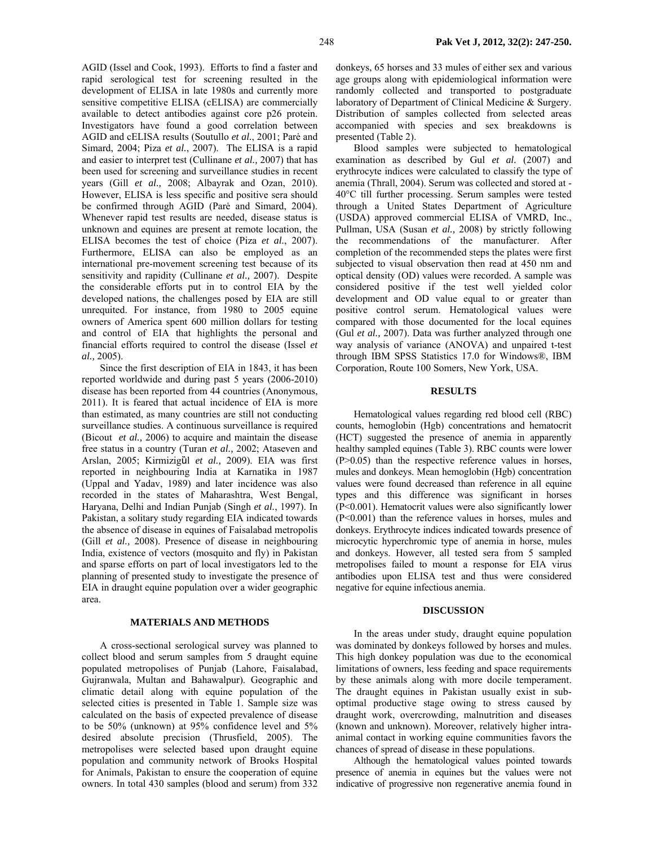AGID (Issel and Cook, 1993). Efforts to find a faster and rapid serological test for screening resulted in the development of ELISA in late 1980s and currently more sensitive competitive ELISA (cELISA) are commercially available to detect antibodies against core p26 protein. Investigators have found a good correlation between AGID and cELISA results (Soutullo *et al.*, 2001; Parė and Simard, 2004; Piza *et al.*, 2007). The ELISA is a rapid and easier to interpret test (Cullinane *et al.,* 2007) that has been used for screening and surveillance studies in recent years (Gill *et al.,* 2008; Albayrak and Ozan, 2010). However, ELISA is less specific and positive sera should be confirmed through AGID (Parė and Simard, 2004). Whenever rapid test results are needed, disease status is unknown and equines are present at remote location, the ELISA becomes the test of choice (Piza *et al.*, 2007). Furthermore, ELISA can also be employed as an international pre-movement screening test because of its sensitivity and rapidity (Cullinane *et al.,* 2007). Despite the considerable efforts put in to control EIA by the developed nations, the challenges posed by EIA are still unrequited. For instance, from 1980 to 2005 equine owners of America spent 600 million dollars for testing and control of EIA that highlights the personal and financial efforts required to control the disease (Issel *et al.,* 2005).

Since the first description of EIA in 1843, it has been reported worldwide and during past 5 years (2006-2010) disease has been reported from 44 countries (Anonymous, 2011). It is feared that actual incidence of EIA is more than estimated, as many countries are still not conducting surveillance studies. A continuous surveillance is required (Bicout *et al.,* 2006) to acquire and maintain the disease free status in a country (Turan *et al.,* 2002; Ataseven and Arslan, 2005; Kirmizigȕl *et al.,* 2009). EIA was first reported in neighbouring India at Karnatika in 1987 (Uppal and Yadav, 1989) and later incidence was also recorded in the states of Maharashtra, West Bengal, Haryana, Delhi and Indian Punjab (Singh *et al.*, 1997). In Pakistan, a solitary study regarding EIA indicated towards the absence of disease in equines of Faisalabad metropolis (Gill *et al.,* 2008). Presence of disease in neighbouring India, existence of vectors (mosquito and fly) in Pakistan and sparse efforts on part of local investigators led to the planning of presented study to investigate the presence of EIA in draught equine population over a wider geographic area.

#### **MATERIALS AND METHODS**

A cross-sectional serological survey was planned to collect blood and serum samples from 5 draught equine populated metropolises of Punjab (Lahore, Faisalabad, Gujranwala, Multan and Bahawalpur). Geographic and climatic detail along with equine population of the selected cities is presented in Table 1. Sample size was calculated on the basis of expected prevalence of disease to be 50% (unknown) at 95% confidence level and 5% desired absolute precision (Thrusfield, 2005). The metropolises were selected based upon draught equine population and community network of Brooks Hospital for Animals, Pakistan to ensure the cooperation of equine owners. In total 430 samples (blood and serum) from 332 donkeys, 65 horses and 33 mules of either sex and various age groups along with epidemiological information were randomly collected and transported to postgraduate laboratory of Department of Clinical Medicine & Surgery. Distribution of samples collected from selected areas accompanied with species and sex breakdowns is presented (Table 2).

Blood samples were subjected to hematological examination as described by Gul *et al.* (2007) and erythrocyte indices were calculated to classify the type of anemia (Thrall, 2004). Serum was collected and stored at - 40°C till further processing. Serum samples were tested through a United States Department of Agriculture (USDA) approved commercial ELISA of VMRD, Inc., Pullman, USA (Susan *et al.,* 2008) by strictly following the recommendations of the manufacturer. After completion of the recommended steps the plates were first subjected to visual observation then read at 450 nm and optical density (OD) values were recorded. A sample was considered positive if the test well yielded color development and OD value equal to or greater than positive control serum. Hematological values were compared with those documented for the local equines (Gul *et al.,* 2007). Data was further analyzed through one way analysis of variance (ANOVA) and unpaired t-test through IBM SPSS Statistics 17.0 for Windows®, IBM Corporation, Route 100 Somers, New York, USA.

### **RESULTS**

Hematological values regarding red blood cell (RBC) counts, hemoglobin (Hgb) concentrations and hematocrit (HCT) suggested the presence of anemia in apparently healthy sampled equines (Table 3). RBC counts were lower (P>0.05) than the respective reference values in horses, mules and donkeys. Mean hemoglobin (Hgb) concentration values were found decreased than reference in all equine types and this difference was significant in horses (P<0.001). Hematocrit values were also significantly lower (P<0.001) than the reference values in horses, mules and donkeys. Erythrocyte indices indicated towards presence of microcytic hyperchromic type of anemia in horse, mules and donkeys. However, all tested sera from 5 sampled metropolises failed to mount a response for EIA virus antibodies upon ELISA test and thus were considered negative for equine infectious anemia.

## **DISCUSSION**

In the areas under study, draught equine population was dominated by donkeys followed by horses and mules. This high donkey population was due to the economical limitations of owners, less feeding and space requirements by these animals along with more docile temperament. The draught equines in Pakistan usually exist in suboptimal productive stage owing to stress caused by draught work, overcrowding, malnutrition and diseases (known and unknown). Moreover, relatively higher intraanimal contact in working equine communities favors the chances of spread of disease in these populations.

Although the hematological values pointed towards presence of anemia in equines but the values were not indicative of progressive non regenerative anemia found in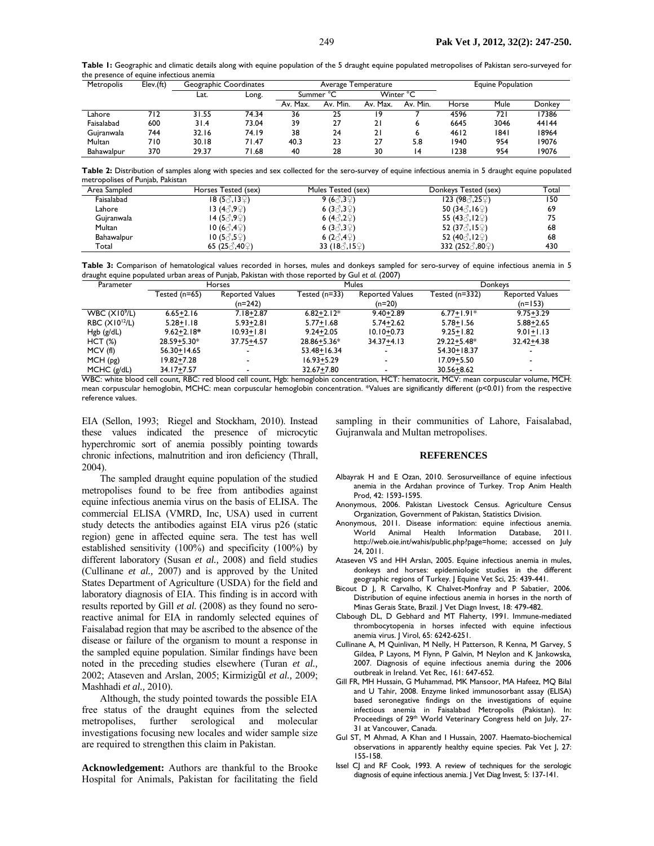| Metropolis | Elev.(ft) | Geographic Coordinates |       | Average Temperature             |          |          |          | <b>Equine Population</b> |      |        |
|------------|-----------|------------------------|-------|---------------------------------|----------|----------|----------|--------------------------|------|--------|
|            |           | Lat.                   | Long. | Winter °C<br>$\sim$<br>Summer ' |          |          |          |                          |      |        |
|            |           |                        |       | Av. Max.                        | Av. Min. | Av. Max. | Av. Min. | Horse                    | Mule | Donkev |
| Lahore     | 712       | 31.55                  | 74.34 | 36                              | 25       | ۱9       |          | 4596                     | 72 I | 17386  |
| Faisalabad | 600       | 31.4                   | 73.04 | 39                              | 27       | 21       |          | 6645                     | 3046 | 44144  |
| Gujranwala | 744       | 32.16                  | 74.19 | 38                              | 24       | 21       | ь        | 4612                     | 1841 | 18964  |
| Multan     | 710       | 30.18                  | 71.47 | 40.3                            | 23       | 27       | 5.8      | 1940                     | 954  | 19076  |
| Bahawalpur | 370       | 29.37                  | 71.68 | 40                              | 28       | 30       | ۱4       | 1238                     | 954  | 19076  |

Table 1: Geographic and climatic details along with equine population of the 5 draught equine populated metropolises of Pakistan sero-surveyed for the presence of equine infectious anemia

**Table 2:** Distribution of samples along with species and sex collected for the sero-survey of equine infectious anemia in 5 draught equine populated metropolises of Punjab, Pakistan

| Area Sampled | Horses Tested (sex)                       | Mules Tested (sex)                 | Donkeys Tested (sex)                | Total |
|--------------|-------------------------------------------|------------------------------------|-------------------------------------|-------|
| Faisalabad   | $18(5\textcircled{3}, 13\textcircled{2})$ | 9 (6 $\beta$ ,3 $\circ$ )          | 123(98, 259)                        | 150   |
| Lahore       | ।3 (4♂,9♀)                                | 6 (3 $(3,3)$ )                     | 50 (34 $\Diamond$ ,16 $\Diamond$ )  | 69    |
| Gujranwala   | 14 (5♂,9♀)                                | 6 (4 $\langle$ 3,2 $\rangle$ )     | 55 (43 $\Diamond$ , 12 $\Diamond$ ) | 75    |
| Multan       | $10(6\text{A}$ ,4 $\text{O}$              | 6 $(3\text{A},3\text{A})$          | 52 (37 $\Diamond$ ,15 $\Diamond$ )  | 68    |
| Bahawalpur   | $10(5\text{A}, 5\text{C})$                | 6 $(2\text{A},4\text{A})$          | 52 (40 $\Diamond$ , 12 $\Diamond$ ) | 68    |
| Total        | 65 (25 $\Im$ ,40 $\Im$ )                  | 33 (18 $\Diamond$ ,15 $\Diamond$ ) | 332 (252 ∂,80 ♀)                    | 430   |

**Table 3:** Comparison of hematological values recorded in horses, mules and donkeys sampled for sero-survey of equine infectious anemia in 5 draught equine populated urban areas of Punjab, Pakistan with those reported by Gul *et al.* (2007)

| Parameter          |                 | <b>Horses</b>            |                | Mules                    | Donkeys          |                        |  |
|--------------------|-----------------|--------------------------|----------------|--------------------------|------------------|------------------------|--|
|                    | Tested (n=65)   | <b>Reported Values</b>   | Tested (n=33)  | <b>Reported Values</b>   | Tested $(n=332)$ | <b>Reported Values</b> |  |
|                    |                 | (n=242)                  |                | $(n=20)$                 |                  | $(n=153)$              |  |
| WBC $(X109/L)$     | $6.65 + 2.16$   | $7.18 + 2.87$            | $6.82 + 2.12*$ | $9.40 + 2.89$            | $6.77 + 1.91*$   | $9.75 + 3.29$          |  |
| RBC $(X10^{12}/L)$ | $5.28 + 1.18$   | $5.93 + 2.81$            | $5.77 + 1.68$  | $5.74 + 2.62$            | $5.78 + 1.56$    | $5.88 + 2.65$          |  |
| Hgb (g/dL)         | $9.62 + 2.18*$  | $10.93 + 1.81$           | $9.24 + 2.05$  | $10.10 + 0.73$           | $9.25 + 1.82$    | $9.01 + 1.13$          |  |
| HCT(%)             | 28.59+5.30*     | $37.75 + 4.57$           | 28.86+5.36*    | $34.37 + 4.13$           | $29.22 + 5.48*$  | $32.42 + 4.38$         |  |
| MCV (fl)           | $56.30 + 14.65$ |                          | 53.48+16.34    | $\overline{\phantom{a}}$ | $54.30 + 18.37$  |                        |  |
| MCH(pg)            | 19.82+7.28      | $\overline{\phantom{a}}$ | $16.93 + 5.29$ | $\overline{\phantom{a}}$ | $17.09 + 5.50$   |                        |  |
| $MCHC$ (g/dL)      | 34.17+7.57      |                          | $32.67 + 7.80$ | $\overline{\phantom{0}}$ | $30.56 + 8.62$   |                        |  |

WBC: white blood cell count, RBC: red blood cell count, Hgb: hemoglobin concentration, HCT: hematocrit, MCV: mean corpuscular volume, MCH: mean corpuscular hemoglobin, MCHC: mean corpuscular hemoglobin concentration. \*Values are significantly different (p<0.01) from the respective reference values.

EIA (Sellon, 1993; Riegel and Stockham, 2010). Instead these values indicated the presence of microcytic hyperchromic sort of anemia possibly pointing towards chronic infections, malnutrition and iron deficiency (Thrall, 2004).

The sampled draught equine population of the studied metropolises found to be free from antibodies against equine infectious anemia virus on the basis of ELISA. The commercial ELISA (VMRD, Inc, USA) used in current study detects the antibodies against EIA virus p26 (static region) gene in affected equine sera. The test has well established sensitivity (100%) and specificity (100%) by different laboratory (Susan *et al.,* 2008) and field studies (Cullinane *et al.,* 2007) and is approved by the United States Department of Agriculture (USDA) for the field and laboratory diagnosis of EIA. This finding is in accord with results reported by Gill *et al.* (2008) as they found no seroreactive animal for EIA in randomly selected equines of Faisalabad region that may be ascribed to the absence of the disease or failure of the organism to mount a response in the sampled equine population. Similar findings have been noted in the preceding studies elsewhere (Turan *et al.,*  2002; Ataseven and Arslan, 2005; Kirmizigȕl *et al.,* 2009; Mashhadi *et al.,* 2010).

Although, the study pointed towards the possible EIA free status of the draught equines from the selected metropolises, further serological and molecular investigations focusing new locales and wider sample size are required to strengthen this claim in Pakistan.

**Acknowledgement:** Authors are thankful to the Brooke Hospital for Animals, Pakistan for facilitating the field

sampling in their communities of Lahore, Faisalabad, Gujranwala and Multan metropolises.

#### **REFERENCES**

- Albayrak H and E Ozan, 2010. Serosurveillance of equine infectious anemia in the Ardahan province of Turkey. Trop Anim Health Prod, 42: 1593-1595.
- Anonymous, 2006. Pakistan Livestock Census. Agriculture Census Organization, Government of Pakistan, Statistics Division.
- Anonymous, 2011. Disease information: equine infectious anemia. World Animal Health Information Database, 2011. http://web.oie.int/wahis/public.php?page=home; accessed on July 24, 2011.
- Ataseven VS and HH Arslan, 2005. Equine infectious anemia in mules, donkeys and horses: epidemiologic studies in the different geographic regions of Turkey. J Equine Vet Sci, 25: 439-441.
- Bicout D J, R Carvalho, K Chalvet-Monfray and P Sabatier, 2006. Distribution of equine infectious anemia in horses in the north of Minas Gerais State, Brazil. J Vet Diagn Invest, 18: 479-482.
- Clabough DL, D Gebhard and MT Flaherty, 1991. Immune-mediated thrombocytopenia in horses infected with equine infectious anemia virus. J Virol, 65: 6242-6251.
- Cullinane A, M Quinlivan, M Nelly, H Patterson, R Kenna, M Garvey, S Gildea, P Layons, M Flynn, P Galvin, M Neylon and K Jankowska*,* 2007. Diagnosis of equine infectious anemia during the 2006 outbreak in Ireland. Vet Rec, 161: 647-652.
- Gill FR, MH Hussain, G Muhammad, MK Mansoor, MA Hafeez, MQ Bilal and U Tahir, 2008. Enzyme linked immunosorbant assay (ELISA) based seronegative findings on the investigations of equine infectious anemia in Faisalabad Metropolis (Pakistan). In: Proceedings of 29<sup>th</sup> World Veterinary Congress held on July, 27-31 at Vancouver, Canada.
- Gul ST, M Ahmad, A Khan and I Hussain, 2007. Haemato-biochemical observations in apparently healthy equine species. Pak Vet J, 27: 155-158.
- Issel CJ and RF Cook, 1993. A review of techniques for the serologic diagnosis of equine infectious anemia. J Vet Diag Invest, 5: 137-141.